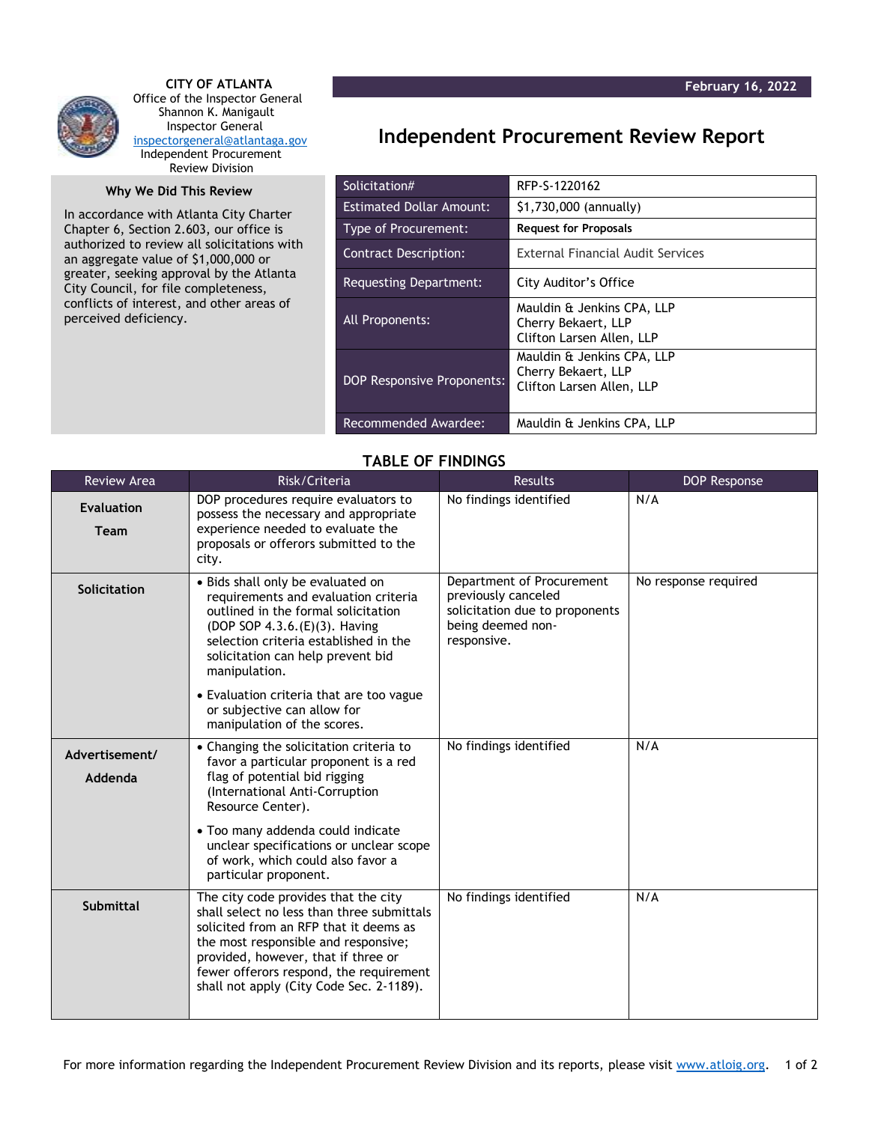

 **CITY OF ATLANTA** Office of the Inspector General Shannon K. Manigault Inspector General [inspectorgeneral@atlantaga.gov](mailto:inspectorgeneral@atlantaga.gov) Independent Procurement Review Division

## **Why We Did This Review**

In accordance with Atlanta City Charter Chapter 6, Section 2.603, our office is authorized to review all solicitations with an aggregate value of \$1,000,000 or greater, seeking approval by the Atlanta City Council, for file completeness, conflicts of interest, and other areas of perceived deficiency.

## **Independent Procurement Review Report**

| Solicitation#                     | RFP-S-1220162                                                                  |
|-----------------------------------|--------------------------------------------------------------------------------|
| <b>Estimated Dollar Amount:</b>   | \$1,730,000 (annually)                                                         |
| Type of Procurement:              | <b>Request for Proposals</b>                                                   |
| Contract Description:             | <b>External Financial Audit Services</b>                                       |
| Requesting Department:            | City Auditor's Office                                                          |
| All Proponents:                   | Mauldin & Jenkins CPA, LLP<br>Cherry Bekaert, LLP<br>Clifton Larsen Allen, LLP |
| <b>DOP Responsive Proponents:</b> | Mauldin & Jenkins CPA, LLP<br>Cherry Bekaert, LLP<br>Clifton Larsen Allen, LLP |
| Recommended Awardee:              | Mauldin & Jenkins CPA, LLP                                                     |

## **TABLE OF FINDINGS**

| <b>Review Area</b>               | Risk/Criteria                                                                                                                                                                                                                                                                                      | <b>Results</b>                                                                                                         | <b>DOP Response</b>  |
|----------------------------------|----------------------------------------------------------------------------------------------------------------------------------------------------------------------------------------------------------------------------------------------------------------------------------------------------|------------------------------------------------------------------------------------------------------------------------|----------------------|
| <b>Evaluation</b><br><b>Team</b> | DOP procedures require evaluators to<br>possess the necessary and appropriate<br>experience needed to evaluate the<br>proposals or offerors submitted to the<br>city.                                                                                                                              | No findings identified                                                                                                 | N/A                  |
| Solicitation                     | • Bids shall only be evaluated on<br>requirements and evaluation criteria<br>outlined in the formal solicitation<br>(DOP SOP 4.3.6. (E)(3). Having<br>selection criteria established in the<br>solicitation can help prevent bid<br>manipulation.                                                  | Department of Procurement<br>previously canceled<br>solicitation due to proponents<br>being deemed non-<br>responsive. | No response required |
|                                  | • Evaluation criteria that are too vague<br>or subjective can allow for<br>manipulation of the scores.                                                                                                                                                                                             |                                                                                                                        |                      |
| Advertisement/<br>Addenda        | • Changing the solicitation criteria to<br>favor a particular proponent is a red<br>flag of potential bid rigging<br>(International Anti-Corruption<br>Resource Center).                                                                                                                           | No findings identified                                                                                                 | N/A                  |
|                                  | • Too many addenda could indicate<br>unclear specifications or unclear scope<br>of work, which could also favor a<br>particular proponent.                                                                                                                                                         |                                                                                                                        |                      |
| <b>Submittal</b>                 | The city code provides that the city<br>shall select no less than three submittals<br>solicited from an RFP that it deems as<br>the most responsible and responsive;<br>provided, however, that if three or<br>fewer offerors respond, the requirement<br>shall not apply (City Code Sec. 2-1189). | No findings identified                                                                                                 | N/A                  |